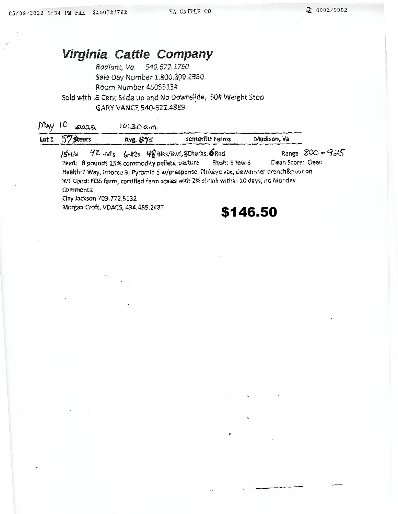## Virginia Cattle Company

Radiant, Va. 540.672.1760 Sale Day Number 1.800.309.2350 Room Number 4505513# Sold with .6 Cent Slide up and No Downslide, 50# Weight Stop GARY VANCE 540-622.4889

| May<br>Lot 1 | 2022<br>57 steers                                                                                                                                                         | 10:300.5<br>AVE. 875                   | Senterfitt Farms                                             | Madison, Va        |               |  |  |  |  |  |
|--------------|---------------------------------------------------------------------------------------------------------------------------------------------------------------------------|----------------------------------------|--------------------------------------------------------------|--------------------|---------------|--|--|--|--|--|
|              | 15H                                                                                                                                                                       | 42 M's 6-#2s 48 Blks/Bwf, 3CharXs, Red | Feed: 8 pounds 15% commodity pellets, pasture Flesh: 5 few 6 | Clean Score: Clean | Range 800-925 |  |  |  |  |  |
|              | Health:7 Way, Inforce 3, Pyramid 5 w/presponse, Pinkeye vac, dewormer drench&pour on<br>WT Cond: FOB farm, certified farm scales with 2% shrink within 10 days, no Monday |                                        |                                                              |                    |               |  |  |  |  |  |
|              | Comments:                                                                                                                                                                 |                                        |                                                              |                    |               |  |  |  |  |  |
|              | Clay Jackson 703.772.5132                                                                                                                                                 |                                        |                                                              |                    |               |  |  |  |  |  |
|              | Morean Croft, VDACS, 434, 485, 2487                                                                                                                                       |                                        |                                                              |                    |               |  |  |  |  |  |

\$146.50